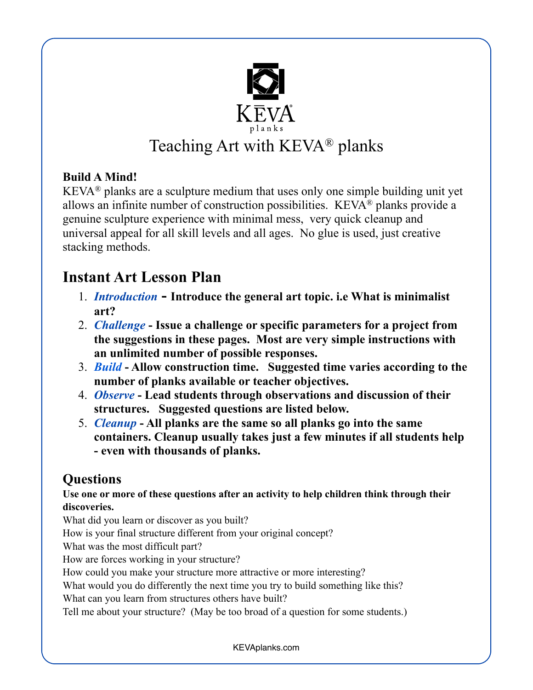

# Teaching Art with KEVA® planks

## **Build A Mind!**

KEVA® planks are a sculpture medium that uses only one simple building unit yet allows an infinite number of construction possibilities. KEVA® planks provide a genuine sculpture experience with minimal mess, very quick cleanup and universal appeal for all skill levels and all ages. No glue is used, just creative stacking methods.

## **Instant Art Lesson Plan**

- 1. *Introduction* **Introduce the general art topic. i.e What is minimalist art?**
- 2. *Challenge* **Issue a challenge or specific parameters for a project from the suggestions in these pages. Most are very simple instructions with an unlimited number of possible responses.**
- 3. *Build* **Allow construction time. Suggested time varies according to the number of planks available or teacher objectives.**
- 4. *Observe* **Lead students through observations and discussion of their structures. Suggested questions are listed below.**
- 5. *Cleanup* **All planks are the same so all planks go into the same containers. Cleanup usually takes just a few minutes if all students help - even with thousands of planks.**

## **Questions**

#### **Use one or more of these questions after an activity to help children think through their discoveries.**

What did you learn or discover as you built?

How is your final structure different from your original concept?

What was the most difficult part?

How are forces working in your structure?

How could you make your structure more attractive or more interesting?

What would you do differently the next time you try to build something like this?

What can you learn from structures others have built?

Tell me about your structure? (May be too broad of a question for some students.)

KEVAplanks.com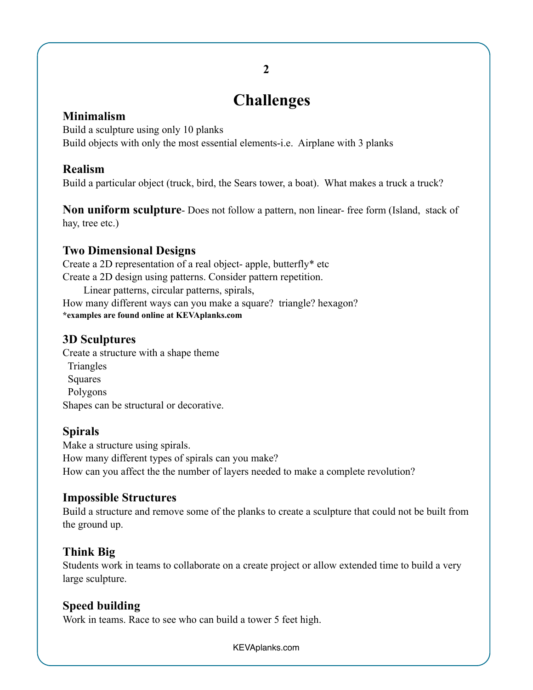# **Challenges**

#### **Minimalism**

Build a sculpture using only 10 planks Build objects with only the most essential elements-i.e. Airplane with 3 planks

#### **Realism**

Build a particular object (truck, bird, the Sears tower, a boat). What makes a truck a truck?

**Non uniform sculpture**- Does not follow a pattern, non linear- free form (Island, stack of hay, tree etc.)

### **Two Dimensional Designs**

Create a 2D representation of a real object- apple, butterfly\* etc Create a 2D design using patterns. Consider pattern repetition. Linear patterns, circular patterns, spirals, How many different ways can you make a square? triangle? hexagon? **\*examples are found online at KEVAplanks.com**

### **3D Sculptures**

Create a structure with a shape theme **Triangles**  Squares Polygons Shapes can be structural or decorative.

### **Spirals**

Make a structure using spirals. How many different types of spirals can you make? How can you affect the the number of layers needed to make a complete revolution?

### **Impossible Structures**

Build a structure and remove some of the planks to create a sculpture that could not be built from the ground up.

### **Think Big**

Students work in teams to collaborate on a create project or allow extended time to build a very large sculpture.

### **Speed building**

Work in teams. Race to see who can build a tower 5 feet high.

KEVAplanks.com

**2**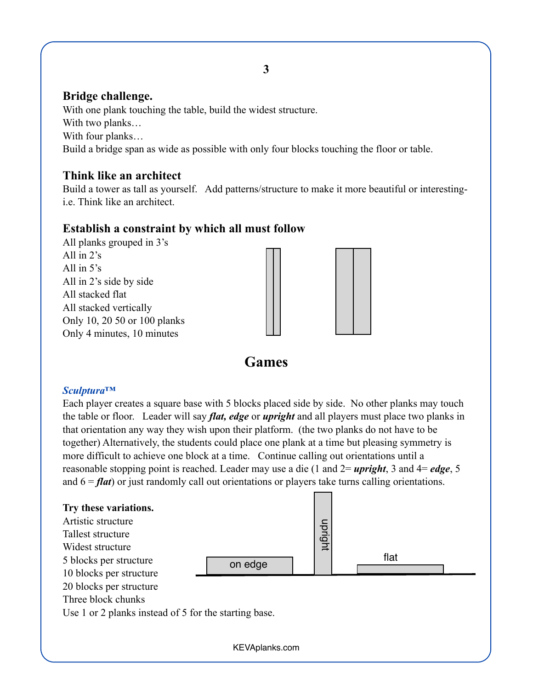#### **Bridge challenge.**

With one plank touching the table, build the widest structure. With two planks… With four planks… Build a bridge span as wide as possible with only four blocks touching the floor or table.

#### **Think like an architect**

Build a tower as tall as yourself. Add patterns/structure to make it more beautiful or interestingi.e. Think like an architect.

#### **Establish a constraint by which all must follow**

All planks grouped in 3's All in 2's All in 5's All in 2's side by side All stacked flat All stacked vertically Only 10, 20 50 or 100 planks Only 4 minutes, 10 minutes



## **Games**

#### *Sculptura™*

Each player creates a square base with 5 blocks placed side by side. No other planks may touch the table or floor. Leader will say *flat, edge* or *upright* and all players must place two planks in that orientation any way they wish upon their platform. (the two planks do not have to be together) Alternatively, the students could place one plank at a time but pleasing symmetry is more difficult to achieve one block at a time. Continue calling out orientations until a reasonable stopping point is reached. Leader may use a die (1 and 2= *upright*, 3 and 4= *edge*, 5 and 6 = *flat*) or just randomly call out orientations or players take turns calling orientations.



**3**